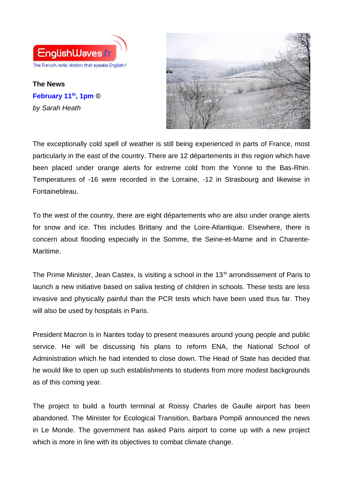

**The News February 11th, 1pm ©** *by Sarah Heath*



The exceptionally cold spell of weather is still being experienced in parts of France, most particularly in the east of the country. There are 12 départements in this region which have been placed under orange alerts for extreme cold from the Yonne to the Bas-Rhin. Temperatures of -16 were recorded in the Lorraine, -12 in Strasbourg and likewise in Fontainebleau.

To the west of the country, there are eight départements who are also under orange alerts for snow and ice. This includes Brittany and the Loire-Atlantique. Elsewhere, there is concern about flooding especially in the Somme, the Seine-et-Marne and in Charente-Maritime.

The Prime Minister, Jean Castex, is visiting a school in the  $13<sup>th</sup>$  arrondissement of Paris to launch a new initiative based on saliva testing of children in schools. These tests are less invasive and physically painful than the PCR tests which have been used thus far. They will also be used by hospitals in Paris.

President Macron is in Nantes today to present measures around young people and public service. He will be discussing his plans to reform ENA, the National School of Administration which he had intended to close down. The Head of State has decided that he would like to open up such establishments to students from more modest backgrounds as of this coming year.

The project to build a fourth terminal at Roissy Charles de Gaulle airport has been abandoned. The Minister for Ecological Transition, Barbara Pompili announced the news in Le Monde. The government has asked Paris airport to come up with a new project which is more in line with its objectives to combat climate change.